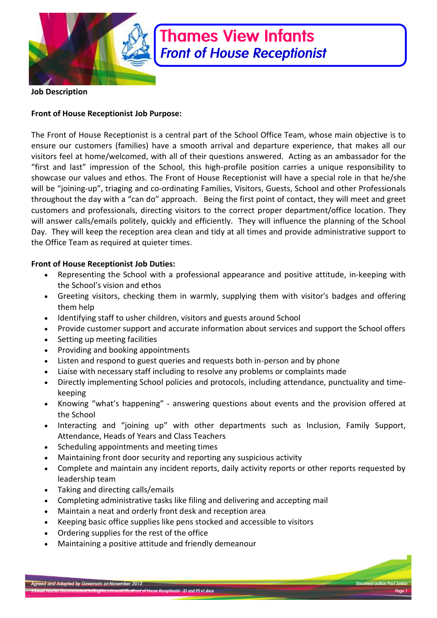

# **Thames View Infants Front of House Receptionist**

**Job Description** 

## **Front of House Receptionist Job Purpose:**

The Front of House Receptionist is a central part of the School Office Team, whose main objective is to ensure our customers (families) have a smooth arrival and departure experience, that makes all our visitors feel at home/welcomed, with all of their questions answered. Acting as an ambassador for the "first and last" impression of the School, this high-profile position carries a unique responsibility to showcase our values and ethos. The Front of House Receptionist will have a special role in that he/she will be "joining-up", triaging and co-ordinating Families, Visitors, Guests, School and other Professionals throughout the day with a "can do" approach. Being the first point of contact, they will meet and greet customers and professionals, directing visitors to the correct proper department/office location. They will answer calls/emails politely, quickly and efficiently. They will influence the planning of the School Day. They will keep the reception area clean and tidy at all times and provide administrative support to the Office Team as required at quieter times.

## **Front of House Receptionist Job Duties:**

- Representing the School with a professional appearance and positive attitude, in-keeping with the School's vision and ethos
- Greeting visitors, checking them in warmly, supplying them with visitor's badges and offering them help
- Identifying staff to usher children, visitors and guests around School
- Provide customer support and accurate information about services and support the School offers
- Setting up meeting facilities
- Providing and booking appointments
- Listen and respond to guest queries and requests both in-person and by phone
- Liaise with necessary staff including to resolve any problems or complaints made
- Directly implementing School policies and protocols, including attendance, punctuality and timekeeping
- Knowing "what's happening" answering questions about events and the provision offered at the School
- Interacting and "joining up" with other departments such as Inclusion, Family Support, Attendance, Heads of Years and Class Teachers
- Scheduling appointments and meeting times
- Maintaining front door security and reporting any suspicious activity
- Complete and maintain any incident reports, daily activity reports or other reports requested by leadership team
- Taking and directing calls/emails
- Completing administrative tasks like filing and delivering and accepting mail
- Maintain a neat and orderly front desk and reception area
- Keeping basic office supplies like pens stocked and accessible to visitors
- Ordering supplies for the rest of the office
- Maintaining a positive attitude and friendly demeanour